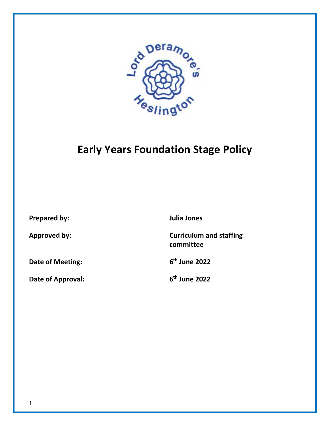

# **Early Years Foundation Stage Policy**

**Prepared by: Julia Jones**

**Date of Meeting: 6**

**Date of Approval: 6**

**Approved by: Curriculum and staffing committee**

**th June 2022**

**th June 2022**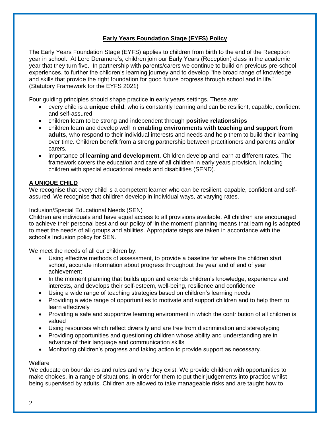# **Early Years Foundation Stage (EYFS) Policy**

The Early Years Foundation Stage (EYFS) applies to children from birth to the end of the Reception year in school. At Lord Deramore's, children join our Early Years (Reception) class in the academic year that they turn five. In partnership with parents/carers we continue to build on previous pre-school experiences, to further the children's learning journey and to develop "the broad range of knowledge and skills that provide the right foundation for good future progress through school and in life." (Statutory Framework for the EYFS 2021)

Four guiding principles should shape practice in early years settings. These are:

- every child is a **unique child**, who is constantly learning and can be resilient, capable, confident and self-assured
- children learn to be strong and independent through **positive relationships**
- children learn and develop well in **enabling environments with teaching and support from adults**, who respond to their individual interests and needs and help them to build their learning over time. Children benefit from a strong partnership between practitioners and parents and/or carers.
- importance of **learning and development**. Children develop and learn at different rates. The framework covers the education and care of all children in early years provision, including children with special educational needs and disabilities (SEND).

# **A UNIQUE CHILD**

We recognise that every child is a competent learner who can be resilient, capable, confident and selfassured. We recognise that children develop in individual ways, at varying rates.

# Inclusion/Special Educational Needs (SEN)

Children are individuals and have equal access to all provisions available. All children are encouraged to achieve their personal best and our policy of 'in the moment' planning means that learning is adapted to meet the needs of all groups and abilities. Appropriate steps are taken in accordance with the school's Inclusion policy for SEN.

We meet the needs of all our children by:

- Using effective methods of assessment, to provide a baseline for where the children start school, accurate information about progress throughout the year and of end of year achievement
- In the moment planning that builds upon and extends children's knowledge, experience and interests, and develops their self-esteem, well-being, resilience and confidence
- Using a wide range of teaching strategies based on children's learning needs
- Providing a wide range of opportunities to motivate and support children and to help them to learn effectively
- Providing a safe and supportive learning environment in which the contribution of all children is valued
- Using resources which reflect diversity and are free from discrimination and stereotyping
- Providing opportunities and questioning children whose ability and understanding are in advance of their language and communication skills
- Monitoring children's progress and taking action to provide support as necessary.

# **Welfare**

We educate on boundaries and rules and why they exist. We provide children with opportunities to make choices, in a range of situations, in order for them to put their judgements into practice whilst being supervised by adults. Children are allowed to take manageable risks and are taught how to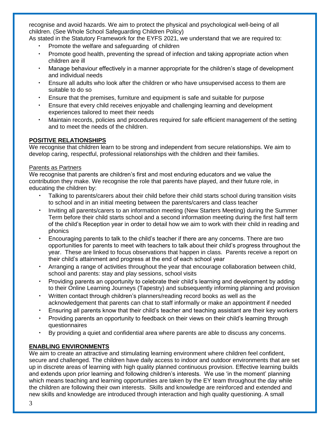recognise and avoid hazards. We aim to protect the physical and psychological well-being of all children. (See Whole School Safeguarding Children Policy)

As stated in the Statutory Framework for the EYFS 2021, we understand that we are required to:

- Promote the welfare and safeguarding of children
- Promote good health, preventing the spread of infection and taking appropriate action when children are ill
- Manage behaviour effectively in a manner appropriate for the children's stage of development and individual needs
- Ensure all adults who look after the children or who have unsupervised access to them are suitable to do so
- Ensure that the premises, furniture and equipment is safe and suitable for purpose
- Ensure that every child receives enjoyable and challenging learning and development experiences tailored to meet their needs
- Maintain records, policies and procedures required for safe efficient management of the setting and to meet the needs of the children.

# **POSITIVE RELATIONSHIPS**

We recognise that children learn to be strong and independent from secure relationships. We aim to develop caring, respectful, professional relationships with the children and their families.

#### Parents as Partners

We recognise that parents are children's first and most enduring educators and we value the contribution they make. We recognise the role that parents have played, and their future role, in educating the children by:

- Talking to parents/carers about their child before their child starts school during transition visits to school and in an initial meeting between the parents/carers and class teacher
- Inviting all parents/carers to an information meeting (New Starters Meeting) during the Summer Term before their child starts school and a second information meeting during the first half term of the child's Reception year in order to detail how we aim to work with their child in reading and phonics
- Encouraging parents to talk to the child's teacher if there are any concerns. There are two opportunities for parents to meet with teachers to talk about their child's progress throughout the year. These are linked to focus observations that happen in class. Parents receive a report on their child's attainment and progress at the end of each school year
- Arranging a range of activities throughout the year that encourage collaboration between child, school and parents: stay and play sessions, school visits
- Providing parents an opportunity to celebrate their child's learning and development by adding to their Online Learning Journeys (Tapestry) and subsequently informing planning and provision
- Written contact through children's planners/reading record books as well as the acknowledgement that parents can chat to staff informally or make an appointment if needed
- Ensuring all parents know that their child's teacher and teaching assistant are their key workers
- Providing parents an opportunity to feedback on their views on their child's learning through questionnaires
- By providing a quiet and confidential area where parents are able to discuss any concerns.

# **ENABLING ENVIRONMENTS**

We aim to create an attractive and stimulating learning environment where children feel confident, secure and challenged. The children have daily access to indoor and outdoor environments that are set up in discrete areas of learning with high quality planned continuous provision. Effective learning builds and extends upon prior learning and following children's interests. We use 'in the moment' planning which means teaching and learning opportunities are taken by the EY team throughout the day while the children are following their own interests. Skills and knowledge are reinforced and extended and new skills and knowledge are introduced through interaction and high quality questioning. A small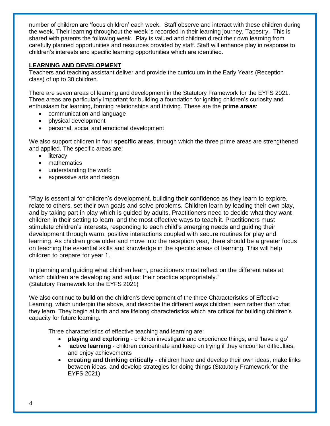number of children are 'focus children' each week. Staff observe and interact with these children during the week. Their learning throughout the week is recorded in their learning journey, Tapestry. This is shared with parents the following week. Play is valued and children direct their own learning from carefully planned opportunities and resources provided by staff. Staff will enhance play in response to children's interests and specific learning opportunities which are identified.

# **LEARNING AND DEVELOPMENT**

Teachers and teaching assistant deliver and provide the curriculum in the Early Years (Reception class) of up to 30 children.

There are seven areas of learning and development in the Statutory Framework for the EYFS 2021. Three areas are particularly important for building a foundation for igniting children's curiosity and enthusiasm for learning, forming relationships and thriving. These are the **prime areas**:

- communication and language
- physical development
- personal, social and emotional development

We also support children in four **specific areas**, through which the three prime areas are strengthened and applied. The specific areas are:

- literacy
- mathematics
- understanding the world
- expressive arts and design

"Play is essential for children's development, building their confidence as they learn to explore, relate to others, set their own goals and solve problems. Children learn by leading their own play, and by taking part in play which is guided by adults. Practitioners need to decide what they want children in their setting to learn, and the most effective ways to teach it. Practitioners must stimulate children's interests, responding to each child's emerging needs and guiding their development through warm, positive interactions coupled with secure routines for play and learning. As children grow older and move into the reception year, there should be a greater focus on teaching the essential skills and knowledge in the specific areas of learning. This will help children to prepare for year 1.

In planning and guiding what children learn, practitioners must reflect on the different rates at which children are developing and adjust their practice appropriately." (Statutory Framework for the EYFS 2021)

We also continue to build on the children's development of the three Characteristics of Effective Learning, which underpin the above, and describe the different ways children learn rather than what they learn. They begin at birth and are lifelong characteristics which are critical for building children's capacity for future learning.

Three characteristics of effective teaching and learning are:

- **playing and exploring** children investigate and experience things, and 'have a go'
- **active learning** children concentrate and keep on trying if they encounter difficulties, and enjoy achievements
- **creating and thinking critically** children have and develop their own ideas, make links between ideas, and develop strategies for doing things (Statutory Framework for the EYFS 2021)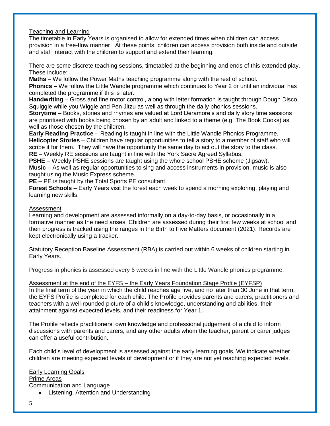### Teaching and Learning

The timetable in Early Years is organised to allow for extended times when children can access provision in a free-flow manner. At these points, children can access provision both inside and outside and staff interact with the children to support and extend their learning.

There are some discrete teaching sessions, timetabled at the beginning and ends of this extended play. These include:

**Maths** – We follow the Power Maths teaching programme along with the rest of school.

**Phonics** – We follow the Little Wandle programme which continues to Year 2 or until an individual has completed the programme if this is later.

**Handwriting** – Gross and fine motor control, along with letter formation is taught through Dough Disco, Squiggle while you Wiggle and Pen Jitzu as well as through the daily phonics sessions.

**Storytime** – Books, stories and rhymes are valued at Lord Deramore's and daily story time sessions are prioritised with books being chosen by an adult and linked to a theme (e.g. The Book Cooks) as well as those chosen by the children.

**Early Reading Practice** - Reading is taught in line with the Little Wandle Phonics Programme. **Helicopter Stories** – Children have regular opportunities to tell a story to a member of staff who will scribe it for them. They will have the opportunity the same day to act out the story to the class. **RE** – Weekly RE sessions are taught in line with the York Sacre Agreed Syllabus.

**PSHE** – Weekly PSHE sessions are taught using the whole school PSHE scheme (Jigsaw). **Music** – As well as regular opportunities to sing and access instruments in provision, music is also taught using the Music Express scheme.

**PE** – PE is taught by the Total Sports PE consultant.

**Forest Schools** – Early Years visit the forest each week to spend a morning exploring, playing and learning new skills.

#### Assessment

Learning and development are assessed informally on a day-to-day basis, or occasionally in a formative manner as the need arises. Children are assessed during their first few weeks at school and then progress is tracked using the ranges in the Birth to Five Matters document (2021). Records are kept electronically using a tracker.

Statutory Reception Baseline Assessment (RBA) is carried out within 6 weeks of children starting in Early Years.

Progress in phonics is assessed every 6 weeks in line with the Little Wandle phonics programme.

#### Assessment at the end of the EYFS – the Early Years Foundation Stage Profile (EYFSP)

In the final term of the year in which the child reaches age five, and no later than 30 June in that term, the EYFS Profile is completed for each child. The Profile provides parents and carers, practitioners and teachers with a well-rounded picture of a child's knowledge, understanding and abilities, their attainment against expected levels, and their readiness for Year 1.

The Profile reflects practitioners' own knowledge and professional judgement of a child to inform discussions with parents and carers, and any other adults whom the teacher, parent or carer judges can offer a useful contribution.

Each child's level of development is assessed against the early learning goals. We indicate whether children are meeting expected levels of development or if they are not yet reaching expected levels.

Early Learning Goals Prime Areas Communication and Language • Listening, Attention and Understanding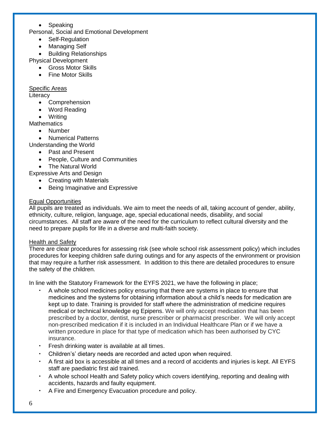# Speaking

Personal, Social and Emotional Development

- Self-Regulation
- Managing Self

**•** Building Relationships

Physical Development

- Gross Motor Skills
- Fine Motor Skills

Specific Areas

**Literacy** 

- Comprehension
- Word Reading
- Writing

**Mathematics** 

Number

• Numerical Patterns

Understanding the World

- Past and Present
- People, Culture and Communities
- The Natural World

Expressive Arts and Design

- Creating with Materials
- Being Imaginative and Expressive

# Equal Opportunities

All pupils are treated as individuals. We aim to meet the needs of all, taking account of gender, ability, ethnicity, culture, religion, language, age, special educational needs, disability, and social circumstances. All staff are aware of the need for the curriculum to reflect cultural diversity and the need to prepare pupils for life in a diverse and multi-faith society.

# Health and Safety

There are clear procedures for assessing risk (see whole school risk assessment policy) which includes procedures for keeping children safe during outings and for any aspects of the environment or provision that may require a further risk assessment. In addition to this there are detailed procedures to ensure the safety of the children.

In line with the Statutory Framework for the EYFS 2021, we have the following in place;

- A whole school medicines policy ensuring that there are systems in place to ensure that medicines and the systems for obtaining information about a child's needs for medication are kept up to date. Training is provided for staff where the administration of medicine requires medical or technical knowledge eg Epipens. We will only accept medication that has been prescribed by a doctor, dentist, nurse prescriber or pharmacist prescriber. We will only accept non-prescribed medication if it is included in an Individual Healthcare Plan or if we have a written procedure in place for that type of medication which has been authorised by CYC insurance.
- Fresh drinking water is available at all times.
- Children's' dietary needs are recorded and acted upon when required.
- A first aid box is accessible at all times and a record of accidents and injuries is kept. All EYFS staff are paediatric first aid trained.
- A whole school Health and Safety policy which covers identifying, reporting and dealing with accidents, hazards and faulty equipment.
- A Fire and Emergency Evacuation procedure and policy.